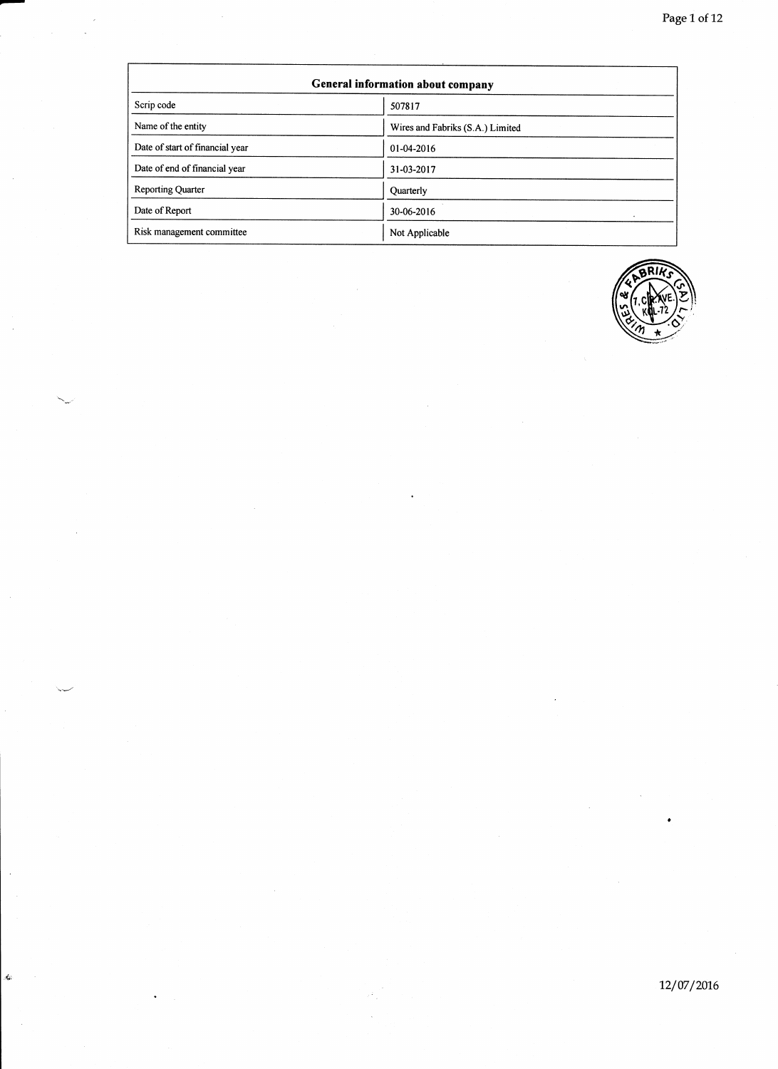| General information about company |                                  |  |  |  |
|-----------------------------------|----------------------------------|--|--|--|
| Scrip code                        | 507817                           |  |  |  |
| Name of the entity                | Wires and Fabriks (S.A.) Limited |  |  |  |
| Date of start of financial year   | 01-04-2016                       |  |  |  |
| Date of end of financial year     | 31-03-2017                       |  |  |  |
| <b>Reporting Quarter</b>          | Quarterly                        |  |  |  |
| Date of Report                    | 30-06-2016                       |  |  |  |
| Risk management committee         | Not Applicable                   |  |  |  |

i.<br>Se

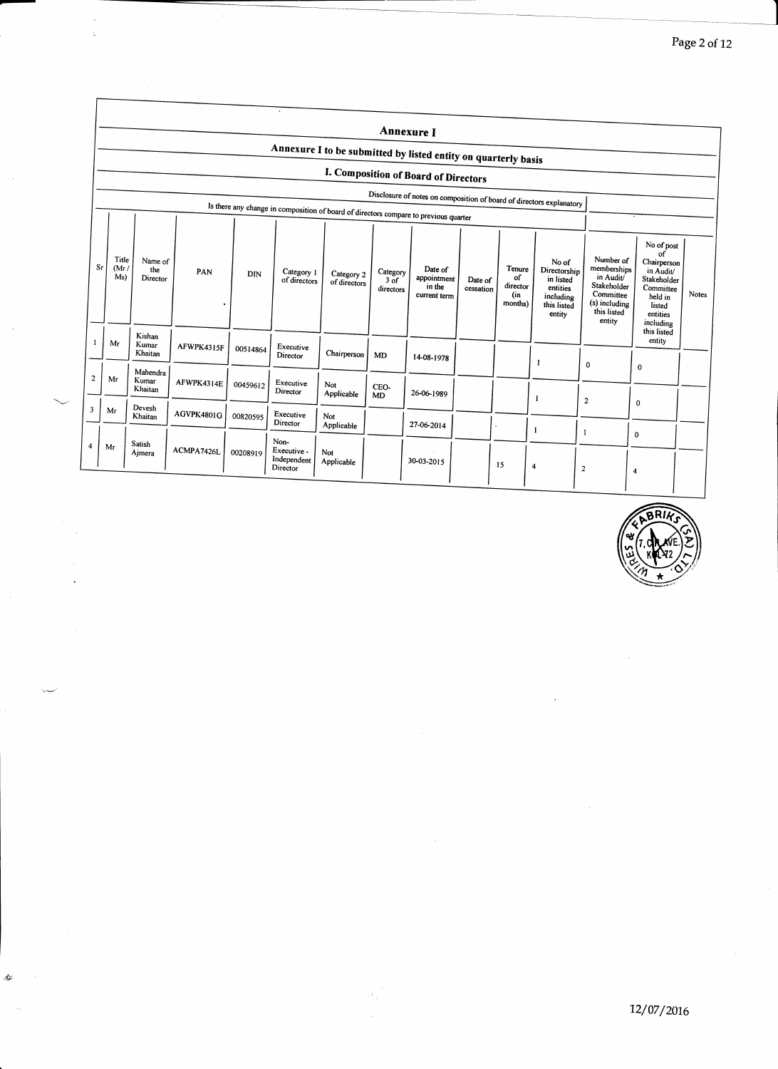|                |                      |                              |            |          |                                                                                      |                            |                                 | Annexure I                                       |                      |                                            |                                                                                      |                                                                                                             |                                                                                                                        |       |
|----------------|----------------------|------------------------------|------------|----------|--------------------------------------------------------------------------------------|----------------------------|---------------------------------|--------------------------------------------------|----------------------|--------------------------------------------|--------------------------------------------------------------------------------------|-------------------------------------------------------------------------------------------------------------|------------------------------------------------------------------------------------------------------------------------|-------|
|                |                      |                              |            |          | Annexure I to be submitted by listed entity on quarterly basis                       |                            |                                 |                                                  |                      |                                            |                                                                                      |                                                                                                             |                                                                                                                        |       |
|                |                      |                              |            |          |                                                                                      |                            |                                 | I. Composition of Board of Directors             |                      |                                            |                                                                                      |                                                                                                             |                                                                                                                        |       |
|                |                      |                              |            |          |                                                                                      |                            |                                 |                                                  |                      |                                            | Disclosure of notes on composition of board of directors explanatory                 |                                                                                                             |                                                                                                                        |       |
|                |                      |                              |            |          | Is there any change in composition of board of directors compare to previous quarter |                            |                                 |                                                  |                      |                                            |                                                                                      |                                                                                                             |                                                                                                                        |       |
| Sr             | Title<br>(Mr)<br>Ms) | Name of<br>the<br>Director   | PAN        | DIN      | Category 1<br>of directors                                                           | Category 2<br>of directors | Category<br>$3$ of<br>directors | Date of<br>appointment<br>in the<br>current term | Date of<br>cessation | Tenure<br>of<br>director<br>(in<br>months) | No of<br>Directorship<br>in listed<br>entities<br>including<br>this listed<br>entity | Number of<br>memberships<br>in Audit/<br>Stakeholder<br>Committee<br>(s) including<br>this listed<br>entity | No of post<br>of<br>Chairperson<br>in Audit/<br>Stakeholder<br>Committee<br>held in<br>listed<br>entities<br>including | Notes |
|                | Mr                   | Kishan<br>Kumar<br>Khaitan   | AFWPK4315F | 00514864 | Executive<br>Director                                                                | Chairperson                | MD                              | 14-08-1978                                       |                      |                                            |                                                                                      |                                                                                                             | this listed<br>entity                                                                                                  |       |
| $\overline{c}$ | Mr                   | Mahendra<br>Kumar<br>Khaitan | AFWPK4314E | 00459612 | Executive<br>Director                                                                | Not<br>Applicable          | CEO-<br><b>MD</b>               | 26-06-1989                                       |                      |                                            | -1<br>ı                                                                              | 0                                                                                                           | $\bf{0}$                                                                                                               |       |
| 3              | Mr                   | Devesh<br>Khaitan            | AGVPK4801G | 00820595 | Executive<br>Director                                                                | Not<br>Applicable          |                                 | 27-06-2014                                       |                      |                                            | -1                                                                                   | $\overline{2}$                                                                                              | $\mathbf 0$                                                                                                            |       |
| 4              | Mr                   | Satish<br>Aimera             | ACMPA7426L | 00208919 | Non-<br>Executive -<br>Independent<br>Director                                       | Not<br>Applicable          |                                 | 30-03-2015                                       |                      | 15                                         | $\overline{\bf 4}$                                                                   | $\overline{\mathbf{c}}$                                                                                     | 0<br>$\overline{\bf{4}}$                                                                                               |       |

.<br>Na

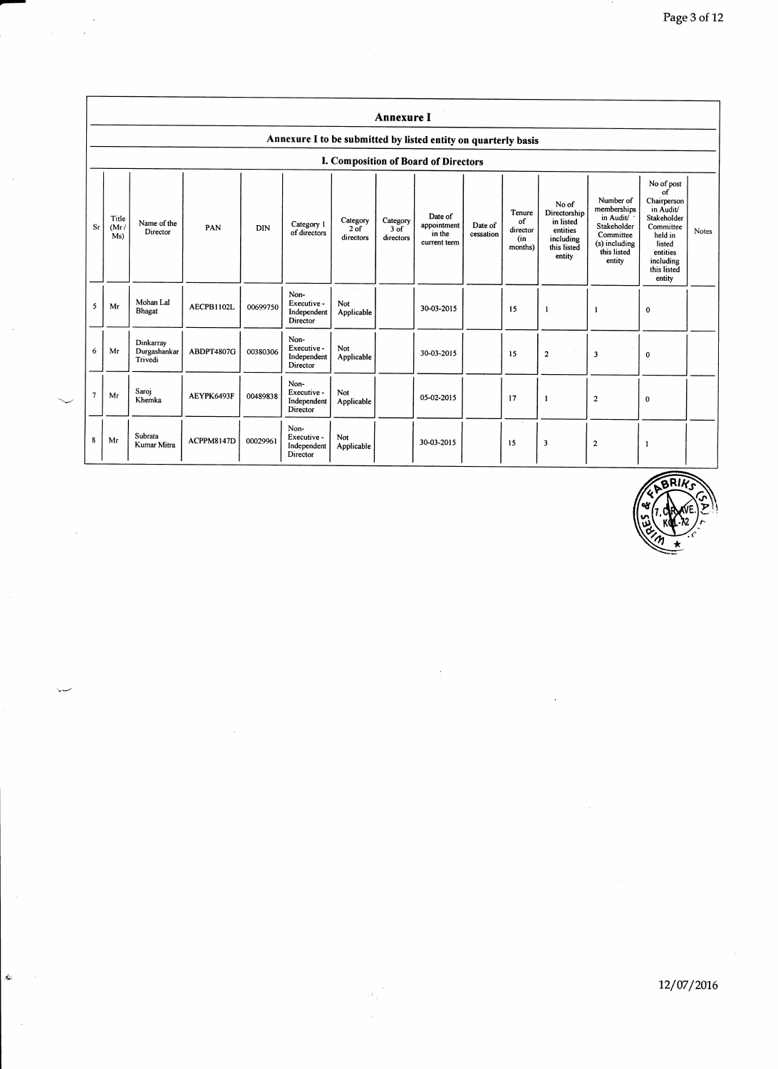|                | <b>Annexure I</b>                                              |                                      |            |            |                                                |                                 |                                 |                                                  |                      |                                            |                                                                                      |                                                                                                             |                                                                                                                                                 |       |
|----------------|----------------------------------------------------------------|--------------------------------------|------------|------------|------------------------------------------------|---------------------------------|---------------------------------|--------------------------------------------------|----------------------|--------------------------------------------|--------------------------------------------------------------------------------------|-------------------------------------------------------------------------------------------------------------|-------------------------------------------------------------------------------------------------------------------------------------------------|-------|
|                | Annexure I to be submitted by listed entity on quarterly basis |                                      |            |            |                                                |                                 |                                 |                                                  |                      |                                            |                                                                                      |                                                                                                             |                                                                                                                                                 |       |
|                |                                                                |                                      |            |            |                                                |                                 |                                 | I. Composition of Board of Directors             |                      |                                            |                                                                                      |                                                                                                             |                                                                                                                                                 |       |
| Sr             | Title<br>(Mr)<br>Ms)                                           | Name of the<br>Director              | PAN        | <b>DIN</b> | Category 1<br>of directors                     | Category<br>$2$ of<br>directors | Category<br>$3$ of<br>directors | Date of<br>appointment<br>in the<br>current term | Date of<br>cessation | Tenure<br>of<br>director<br>(in<br>months) | No of<br>Directorship<br>in listed<br>entities<br>including<br>this listed<br>entity | Number of<br>memberships<br>in Audit/<br>Stakeholder<br>Committee<br>(s) including<br>this listed<br>entity | No of post<br>of<br>Chairperson<br>in Audit/<br>Stakeholder<br>Committee<br>held in<br>listed<br>entities<br>including<br>this listed<br>entity | Notes |
| 5              | Mr                                                             | Mohan Lal<br>Bhagat                  | AECPB1102L | 00699750   | Non-<br>Executive -<br>Independent<br>Director | Not<br>Applicable               |                                 | 30-03-2015                                       |                      | 15                                         | 1                                                                                    | 1                                                                                                           | 0                                                                                                                                               |       |
| 6              | Mr                                                             | Dinkarrav<br>Durgashankar<br>Trivedi | ABDPT4807G | 00380306   | Non-<br>Executive -<br>Independent<br>Director | Not<br>Applicable               |                                 | 30-03-2015                                       |                      | 15                                         | $\overline{2}$                                                                       | $\overline{\mathbf{3}}$                                                                                     | 0                                                                                                                                               |       |
| $\overline{7}$ | Mr                                                             | Saroj<br>Khemka                      | AEYPK6493F | 00489838   | Non-<br>Executive -<br>Independent<br>Director | Not<br>Applicable               |                                 | 05-02-2015                                       |                      | 17                                         | 1                                                                                    | $\overline{\mathbf{c}}$                                                                                     | 0                                                                                                                                               |       |
| 8              | Mr                                                             | Subrata<br>Kumar Mitra               | ACPPM8147D | 00029961   | Non-<br>Executive -<br>Independent<br>Director | Not<br>Applicable               |                                 | 30-03-2015                                       |                      | 15                                         | 3                                                                                    | $\overline{2}$                                                                                              |                                                                                                                                                 |       |

k.

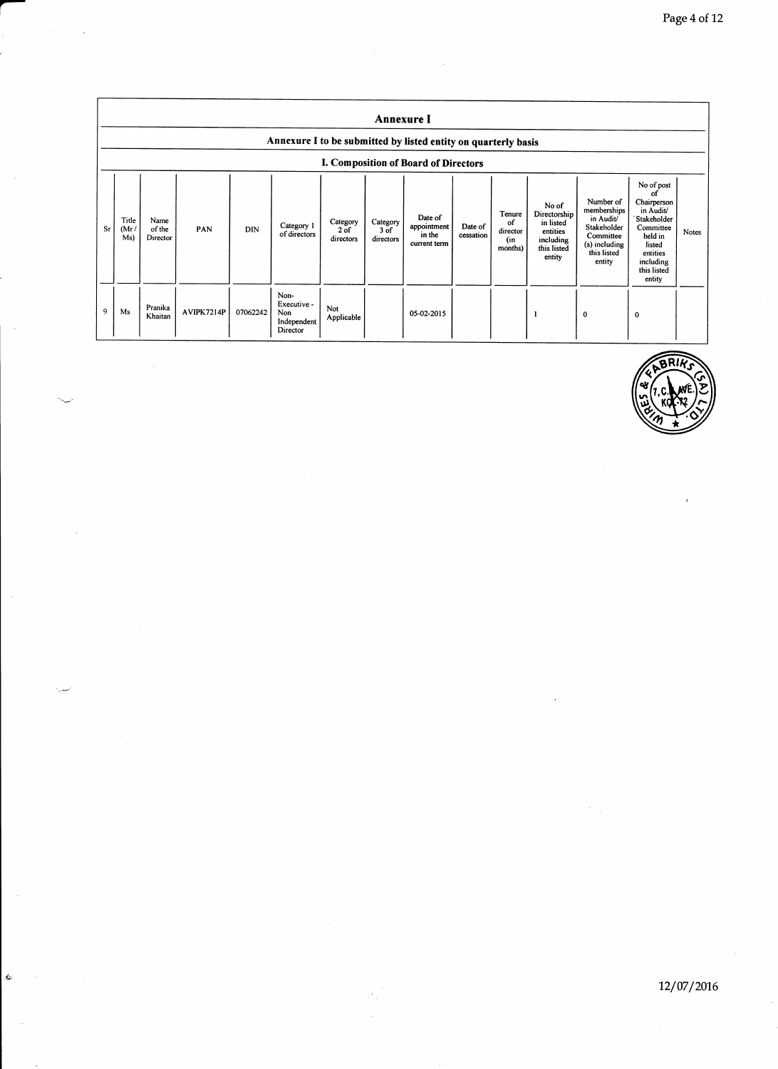|    |                                                                |                            |            |            |                                                       |                                 | <b>Annexure I</b>             |                                                  |                      |                                            |                                                                                      |                                                                                                             |                                                                                                                                                 |              |
|----|----------------------------------------------------------------|----------------------------|------------|------------|-------------------------------------------------------|---------------------------------|-------------------------------|--------------------------------------------------|----------------------|--------------------------------------------|--------------------------------------------------------------------------------------|-------------------------------------------------------------------------------------------------------------|-------------------------------------------------------------------------------------------------------------------------------------------------|--------------|
|    | Annexure I to be submitted by listed entity on quarterly basis |                            |            |            |                                                       |                                 |                               |                                                  |                      |                                            |                                                                                      |                                                                                                             |                                                                                                                                                 |              |
|    |                                                                |                            |            |            |                                                       |                                 |                               | I. Composition of Board of Directors             |                      |                                            |                                                                                      |                                                                                                             |                                                                                                                                                 |              |
| Sr | Title<br>(Mr)<br>Ms)                                           | Name<br>of the<br>Director | PAN        | <b>DIN</b> | Category 1<br>of directors                            | Category<br>$2$ of<br>directors | Category<br>3 of<br>directors | Date of<br>appointment<br>in the<br>current term | Date of<br>cessation | Tenure<br>of<br>director<br>(in<br>months) | No of<br>Directorship<br>in listed<br>entities<br>including<br>this listed<br>entity | Number of<br>memberships<br>in Audit/<br>Stakeholder<br>Committee<br>(s) including<br>this listed<br>entity | No of post<br>οf<br>Chairperson<br>in Audit/<br>Stakeholder<br>Committee<br>held in<br>listed<br>entities<br>including<br>this listed<br>entity | <b>Notes</b> |
| 9  | Ms                                                             | Pranika<br>Khaitan         | AVIPK7214P | 07062242   | Non-<br>Executive -<br>Non<br>Independent<br>Director | Not<br>Applicable               |                               | 05-02-2015                                       |                      |                                            |                                                                                      | $\mathbf 0$                                                                                                 | $\mathbf 0$                                                                                                                                     |              |

Ġ

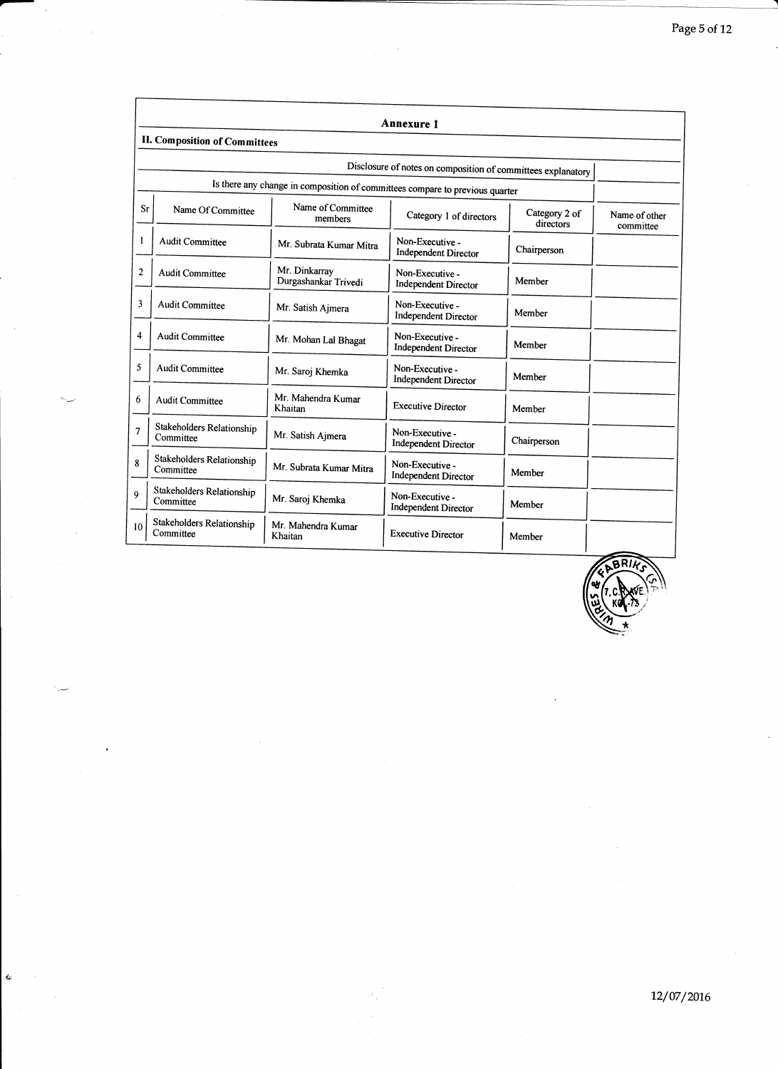|    |                                        |                                       | <b>Annexure 1</b>                                                            |                            |                            |
|----|----------------------------------------|---------------------------------------|------------------------------------------------------------------------------|----------------------------|----------------------------|
|    | <b>II. Composition of Committees</b>   |                                       |                                                                              |                            |                            |
|    |                                        |                                       | Disclosure of notes on composition of committees explanatory                 |                            |                            |
|    |                                        |                                       | Is there any change in composition of committees compare to previous quarter |                            |                            |
| Sr | Name Of Committee                      | Name of Committee<br>members          | Category 1 of directors                                                      | Category 2 of<br>directors | Name of other<br>committee |
|    | <b>Audit Committee</b>                 | Mr. Subrata Kumar Mitra               | Non-Executive -<br><b>Independent Director</b>                               | Chairperson                |                            |
| 2  | <b>Audit Committee</b>                 | Mr. Dinkarray<br>Durgashankar Trivedi | Non-Executive -<br><b>Independent Director</b>                               | Member                     |                            |
| 3  | <b>Audit Committee</b>                 | Mr. Satish Ajmera                     | Non-Executive -<br><b>Independent Director</b>                               | Member                     |                            |
| 4  | <b>Audit Committee</b>                 | Mr. Mohan Lal Bhagat                  | Non-Executive -<br><b>Independent Director</b>                               | Member                     |                            |
| 5  | <b>Audit Committee</b>                 | Mr. Saroj Khemka                      | Non-Executive -<br><b>Independent Director</b>                               | Member                     |                            |
| 6  | <b>Audit Committee</b>                 | Mr. Mahendra Kumar<br>Khaitan         | <b>Executive Director</b>                                                    | Member                     |                            |
| 7  | Stakeholders Relationship<br>Committee | Mr. Satish Ajmera                     | Non-Executive -<br><b>Independent Director</b>                               | Chairperson                |                            |
| 8  | Stakeholders Relationship<br>Committee | Mr. Subrata Kumar Mitra               | Non-Executive -<br><b>Independent Director</b>                               | Member                     |                            |
| 9  | Stakeholders Relationship<br>Committee | Mr. Saroj Khemka                      | Non-Executive -<br><b>Independent Director</b>                               | Member                     |                            |
| 10 | Stakeholders Relationship<br>Committee | Mr. Mahendra Kumar<br>Khaitan         | <b>Executive Director</b>                                                    | Member                     |                            |

t.

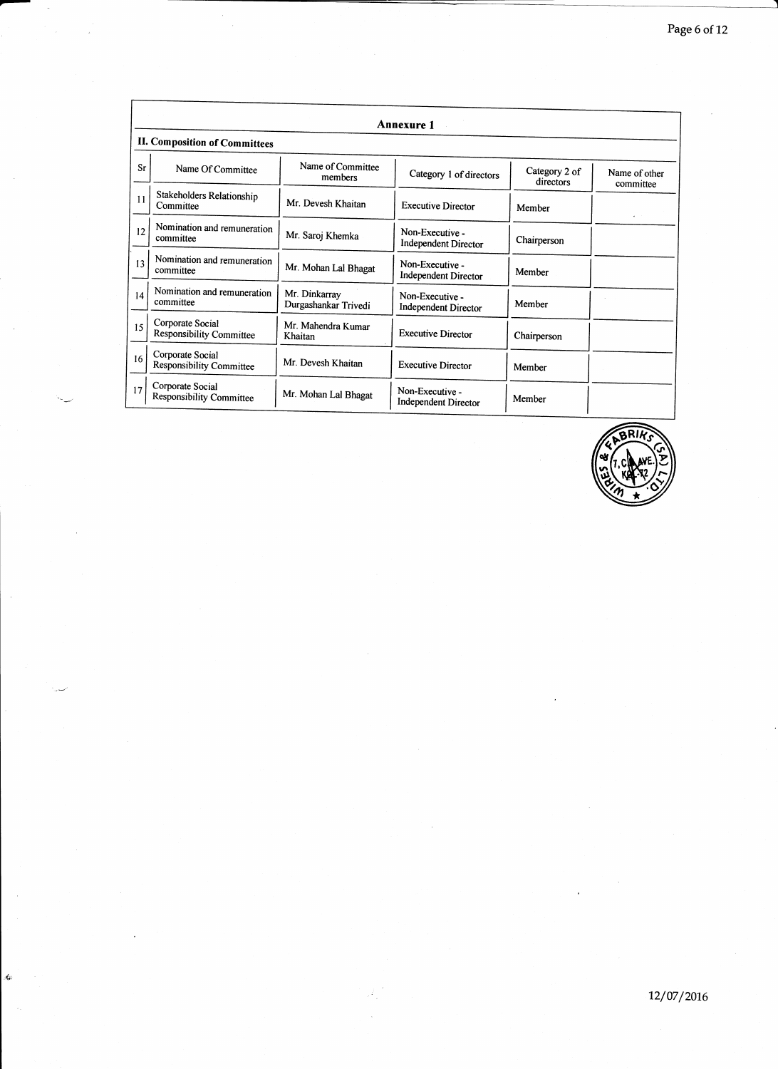|    |                                                     |                                       | <b>Annexure 1</b>                              |                            |                             |
|----|-----------------------------------------------------|---------------------------------------|------------------------------------------------|----------------------------|-----------------------------|
|    | <b>II. Composition of Committees</b>                |                                       |                                                |                            |                             |
| Sr | Name Of Committee                                   | Name of Committee<br>members          | Category 1 of directors                        | Category 2 of<br>directors | Name of other<br>committee  |
| 11 | Stakeholders Relationship<br>Committee              | Mr. Devesh Khaitan                    | <b>Executive Director</b>                      | Member                     | $\mathbf{z} = \mathbf{z}$ . |
| 12 | Nomination and remuneration<br>committee            | Mr. Saroj Khemka                      | Non-Executive -<br><b>Independent Director</b> | Chairperson                |                             |
| 13 | Nomination and remuneration<br>committee            | Mr. Mohan Lal Bhagat                  | Non-Executive -<br>Independent Director        | Member                     |                             |
| 14 | Nomination and remuneration<br>committee            | Mr. Dinkarray<br>Durgashankar Trivedi | Non-Executive -<br><b>Independent Director</b> | Member                     |                             |
| 15 | Corporate Social<br><b>Responsibility Committee</b> | Mr. Mahendra Kumar<br>Khaitan         | <b>Executive Director</b>                      | Chairperson                |                             |
| 16 | Corporate Social<br><b>Responsibility Committee</b> | Mr. Devesh Khaitan                    | <b>Executive Director</b>                      | Member                     |                             |
| 17 | Corporate Social<br><b>Responsibility Committee</b> | Mr. Mohan Lal Bhagat                  | Non-Executive -<br>Independent Director        | Member                     |                             |

Ġ

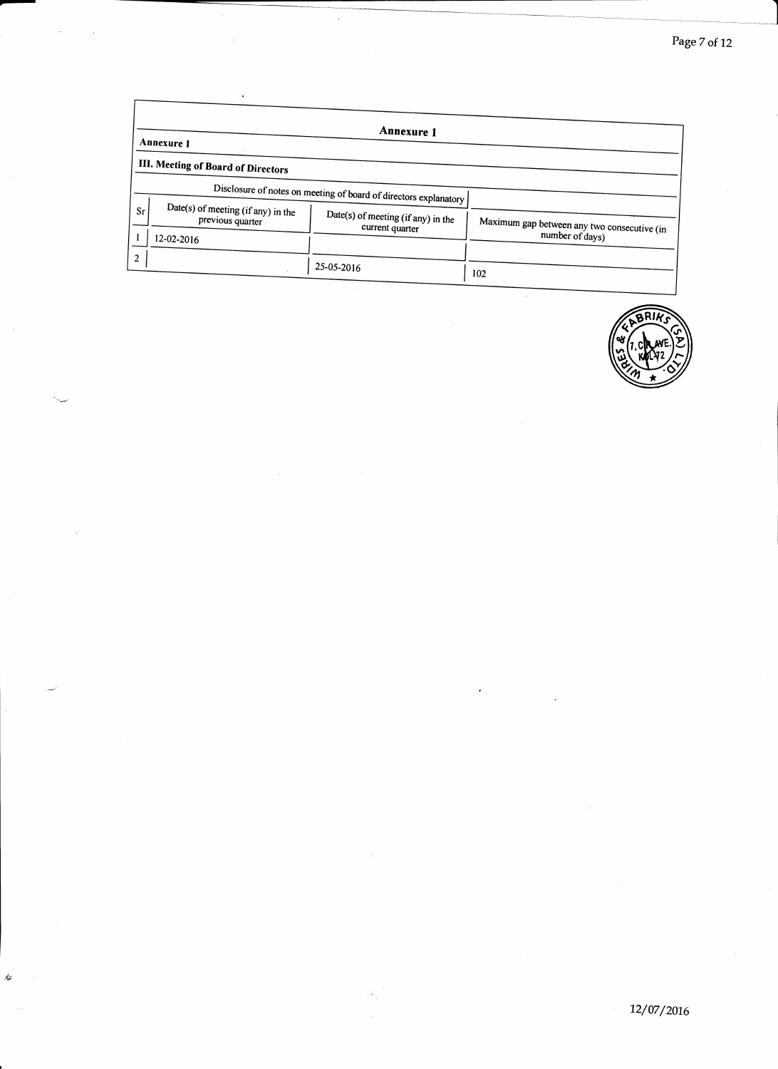|    | Annexure 1                                             | <b>Annexure 1</b>                                                |                                             |
|----|--------------------------------------------------------|------------------------------------------------------------------|---------------------------------------------|
|    | III. Meeting of Board of Directors                     |                                                                  |                                             |
|    |                                                        | Disclosure of notes on meeting of board of directors explanatory |                                             |
| Sr | Date(s) of meeting (if any) in the<br>previous quarter | Date(s) of meeting (if any) in the<br>current quarter            | Maximum gap between any two consecutive (in |
|    | 12-02-2016                                             |                                                                  | number of days)                             |
| 2  |                                                        | 25-05-2016                                                       | 102                                         |

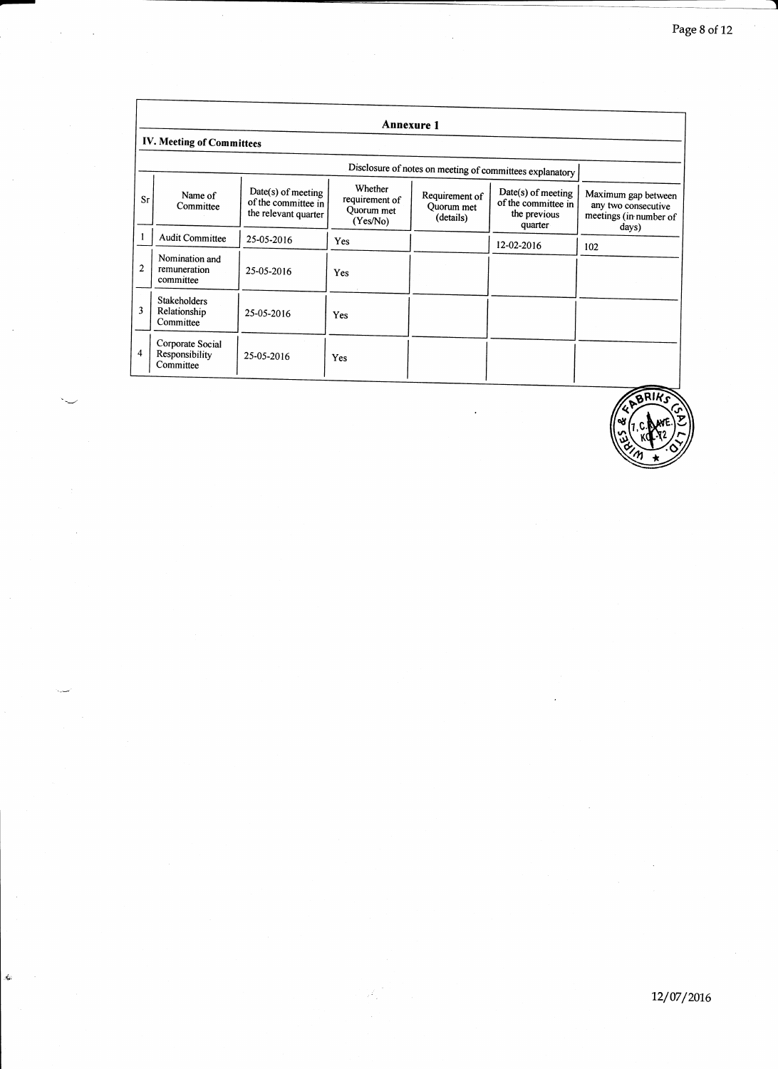|              |                                                  |                                                                   |                                                     | <b>Annexure 1</b>                         |                                                                      |                                                                               |
|--------------|--------------------------------------------------|-------------------------------------------------------------------|-----------------------------------------------------|-------------------------------------------|----------------------------------------------------------------------|-------------------------------------------------------------------------------|
|              | IV. Meeting of Committees                        |                                                                   |                                                     |                                           |                                                                      |                                                                               |
|              |                                                  |                                                                   |                                                     |                                           | Disclosure of notes on meeting of committees explanatory             |                                                                               |
| Sr           | Name of<br>Committee                             | Date(s) of meeting<br>of the committee in<br>the relevant quarter | Whether<br>requirement of<br>Quorum met<br>(Yes/No) | Requirement of<br>Quorum met<br>(details) | Date(s) of meeting<br>of the committee in<br>the previous<br>quarter | Maximum gap between<br>any two consecutive<br>meetings (in number of<br>days) |
|              | <b>Audit Committee</b>                           | 25-05-2016                                                        | Yes                                                 |                                           | 12-02-2016                                                           | 102                                                                           |
| $\mathbf{2}$ | Nomination and<br>remuneration<br>committee      | 25-05-2016                                                        | Yes                                                 |                                           |                                                                      |                                                                               |
| 3            | <b>Stakeholders</b><br>Relationship<br>Committee | 25-05-2016                                                        | Yes                                                 |                                           |                                                                      |                                                                               |
| 4            | Corporate Social<br>Responsibility<br>Committee  | 25-05-2016                                                        | Yes                                                 |                                           |                                                                      |                                                                               |

 $\dot{\mathbf{x}}$ 

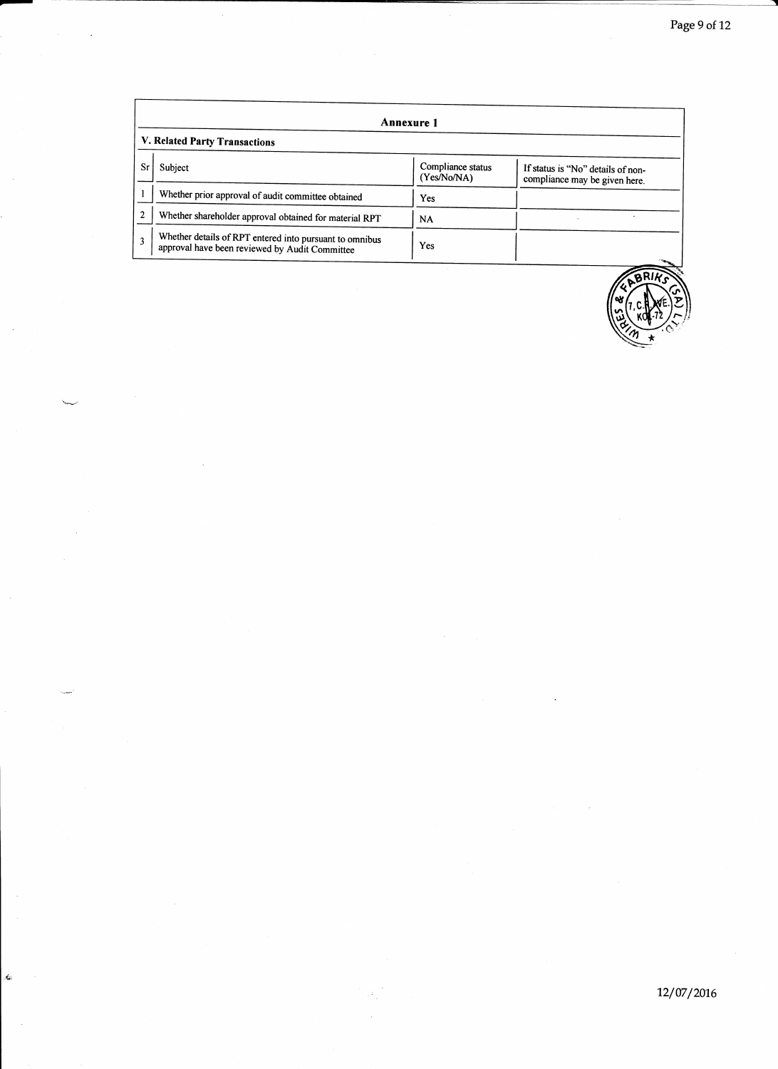|    | <b>Annexure 1</b>                                                                                         |                                  |                                                                    |  |  |  |  |
|----|-----------------------------------------------------------------------------------------------------------|----------------------------------|--------------------------------------------------------------------|--|--|--|--|
|    | V. Related Party Transactions                                                                             |                                  |                                                                    |  |  |  |  |
| Sr | Subject                                                                                                   | Compliance status<br>(Yes/No/NA) | If status is "No" details of non-<br>compliance may be given here. |  |  |  |  |
|    | Whether prior approval of audit committee obtained                                                        | Yes                              |                                                                    |  |  |  |  |
|    | Whether shareholder approval obtained for material RPT                                                    | <b>NA</b>                        |                                                                    |  |  |  |  |
| 3  | Whether details of RPT entered into pursuant to omnibus<br>approval have been reviewed by Audit Committee | Yes                              |                                                                    |  |  |  |  |

k.

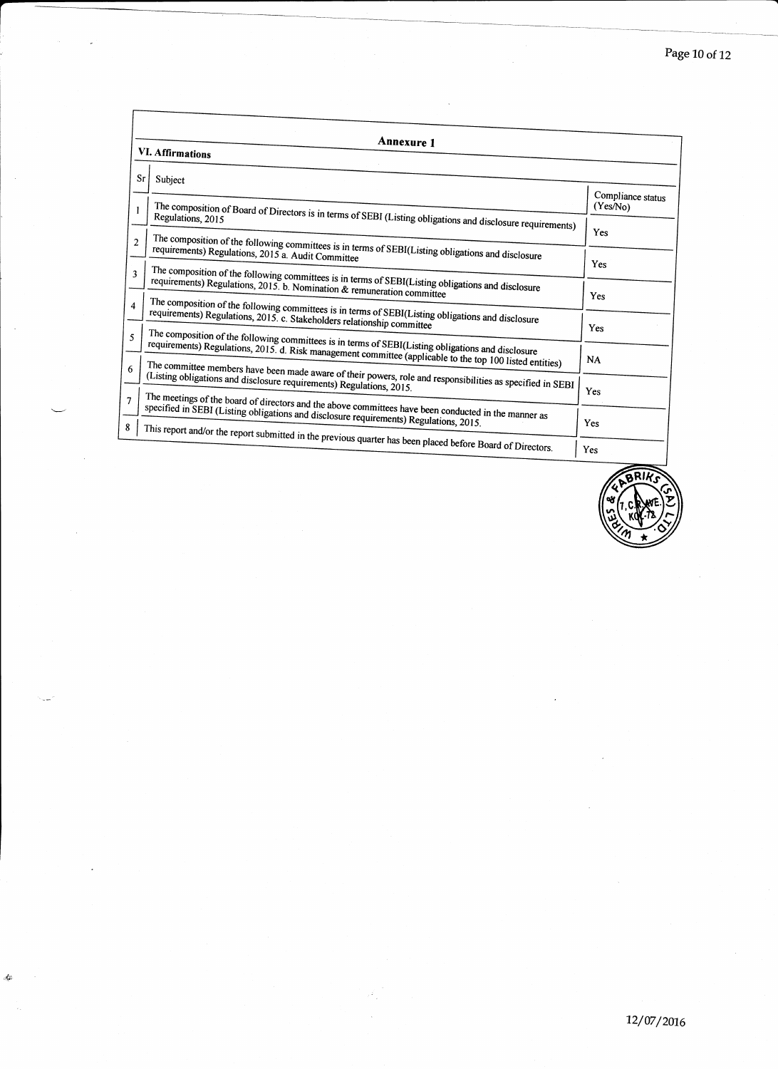| <b>Annexure 1</b> |                                                                                                                                                                                                                                                                                                                                                                                                                                                                                                                                                                                                                                                                                                                                                                                                                                                                                                                                                                                                                                                                                                                                                                                                                                                                                                                                                                                                |
|-------------------|------------------------------------------------------------------------------------------------------------------------------------------------------------------------------------------------------------------------------------------------------------------------------------------------------------------------------------------------------------------------------------------------------------------------------------------------------------------------------------------------------------------------------------------------------------------------------------------------------------------------------------------------------------------------------------------------------------------------------------------------------------------------------------------------------------------------------------------------------------------------------------------------------------------------------------------------------------------------------------------------------------------------------------------------------------------------------------------------------------------------------------------------------------------------------------------------------------------------------------------------------------------------------------------------------------------------------------------------------------------------------------------------|
|                   |                                                                                                                                                                                                                                                                                                                                                                                                                                                                                                                                                                                                                                                                                                                                                                                                                                                                                                                                                                                                                                                                                                                                                                                                                                                                                                                                                                                                |
| Sr<br>Subject     |                                                                                                                                                                                                                                                                                                                                                                                                                                                                                                                                                                                                                                                                                                                                                                                                                                                                                                                                                                                                                                                                                                                                                                                                                                                                                                                                                                                                |
|                   | Compliance status<br>(Yes/N <sub>0</sub> )                                                                                                                                                                                                                                                                                                                                                                                                                                                                                                                                                                                                                                                                                                                                                                                                                                                                                                                                                                                                                                                                                                                                                                                                                                                                                                                                                     |
|                   |                                                                                                                                                                                                                                                                                                                                                                                                                                                                                                                                                                                                                                                                                                                                                                                                                                                                                                                                                                                                                                                                                                                                                                                                                                                                                                                                                                                                |
|                   | Yes                                                                                                                                                                                                                                                                                                                                                                                                                                                                                                                                                                                                                                                                                                                                                                                                                                                                                                                                                                                                                                                                                                                                                                                                                                                                                                                                                                                            |
|                   | Yes                                                                                                                                                                                                                                                                                                                                                                                                                                                                                                                                                                                                                                                                                                                                                                                                                                                                                                                                                                                                                                                                                                                                                                                                                                                                                                                                                                                            |
|                   | Yes                                                                                                                                                                                                                                                                                                                                                                                                                                                                                                                                                                                                                                                                                                                                                                                                                                                                                                                                                                                                                                                                                                                                                                                                                                                                                                                                                                                            |
|                   |                                                                                                                                                                                                                                                                                                                                                                                                                                                                                                                                                                                                                                                                                                                                                                                                                                                                                                                                                                                                                                                                                                                                                                                                                                                                                                                                                                                                |
|                   | Yes                                                                                                                                                                                                                                                                                                                                                                                                                                                                                                                                                                                                                                                                                                                                                                                                                                                                                                                                                                                                                                                                                                                                                                                                                                                                                                                                                                                            |
|                   | NA                                                                                                                                                                                                                                                                                                                                                                                                                                                                                                                                                                                                                                                                                                                                                                                                                                                                                                                                                                                                                                                                                                                                                                                                                                                                                                                                                                                             |
|                   |                                                                                                                                                                                                                                                                                                                                                                                                                                                                                                                                                                                                                                                                                                                                                                                                                                                                                                                                                                                                                                                                                                                                                                                                                                                                                                                                                                                                |
|                   | <b>Yes</b>                                                                                                                                                                                                                                                                                                                                                                                                                                                                                                                                                                                                                                                                                                                                                                                                                                                                                                                                                                                                                                                                                                                                                                                                                                                                                                                                                                                     |
|                   | Yes                                                                                                                                                                                                                                                                                                                                                                                                                                                                                                                                                                                                                                                                                                                                                                                                                                                                                                                                                                                                                                                                                                                                                                                                                                                                                                                                                                                            |
|                   | Yes                                                                                                                                                                                                                                                                                                                                                                                                                                                                                                                                                                                                                                                                                                                                                                                                                                                                                                                                                                                                                                                                                                                                                                                                                                                                                                                                                                                            |
|                   | <b>VI. Affirmations</b><br>The composition of Board of Directors is in terms of SEBI (Listing obligations and disclosure requirements)<br>The composition of the following committees is in terms of SEBI(Listing obligations and disclosure<br>requirements) Regulations, 2015 a. Audit Committee<br>The composition of the following committees is in terms of SEBI(Listing obligations and disclosure<br>requirements) Regulations, $2015$ b. Nomination & remuneration committee<br>The composition of the following committees is in terms of SEBI(Listing obligations and disclosure<br>requirements) Regulations, 2015. c. Stakeholders relationship committee<br>The composition of the following committees is in terms of SEBI(Listing obligations and disclosure<br>requirements) Regulations, 2015. d. Risk management committee (applicable to the top 100 listed entities)<br>The committee members have been made aware of their powers, role and responsibilities as specified in SEBI<br>(Listing obligations and disclosure requirements) Regulations, 2015.<br>The meetings of the board of directors and the above committees have been conducted in the manner as<br>specified in SEBI (Listing obligations and disclosure requirements) Regulations, 2015.<br>This report and/or the report submitted in the previous quarter has been placed before Board of Directors. |

 $\bar{z}$ 

 $\hat{A}^{\mu}_{\mu}$ 

J,